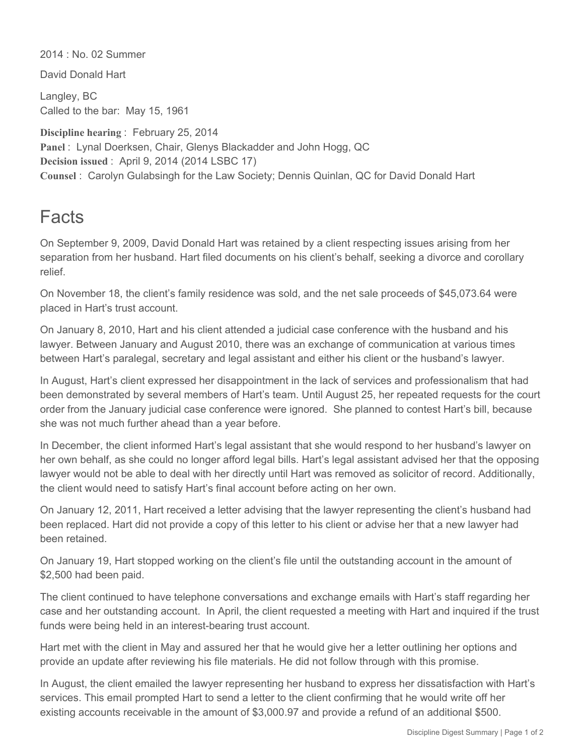2014 : No. 02 Summer

David Donald Hart

Langley, BC Called to the bar: May 15, 1961

**Discipline hearing** : February 25, 2014 Panel: Lynal Doerksen, Chair, Glenys Blackadder and John Hogg, QC **Decision issued** : April 9, 2014 (2014 LSBC 17) **Counsel** : Carolyn Gulabsingh for the Law Society; Dennis Quinlan, QC for David Donald Hart

## Facts

On September 9, 2009, David Donald Hart was retained by a client respecting issues arising from her separation from her husband. Hart filed documents on his client's behalf, seeking a divorce and corollary relief.

On November 18, the client's family residence was sold, and the net sale proceeds of \$45,073.64 were placed in Hart's trust account.

On January 8, 2010, Hart and his client attended a judicial case conference with the husband and his lawyer. Between January and August 2010, there was an exchange of communication at various times between Hart's paralegal, secretary and legal assistant and either his client or the husband's lawyer.

In August, Hart's client expressed her disappointment in the lack of services and professionalism that had been demonstrated by several members of Hart's team. Until August 25, her repeated requests for the court order from the January judicial case conference were ignored. She planned to contest Hart's bill, because she was not much further ahead than a year before.

In December, the client informed Hart's legal assistant that she would respond to her husband's lawyer on her own behalf, as she could no longer afford legal bills. Hart's legal assistant advised her that the opposing lawyer would not be able to deal with her directly until Hart was removed as solicitor of record. Additionally, the client would need to satisfy Hart's final account before acting on her own.

On January 12, 2011, Hart received a letter advising that the lawyer representing the client's husband had been replaced. Hart did not provide a copy of this letter to his client or advise her that a new lawyer had been retained.

On January 19, Hart stopped working on the client's file until the outstanding account in the amount of \$2,500 had been paid.

The client continued to have telephone conversations and exchange emails with Hart's staff regarding her case and her outstanding account. In April, the client requested a meeting with Hart and inquired if the trust funds were being held in an interest-bearing trust account.

Hart met with the client in May and assured her that he would give her a letter outlining her options and provide an update after reviewing his file materials. He did not follow through with this promise.

In August, the client emailed the lawyer representing her husband to express her dissatisfaction with Hart's services. This email prompted Hart to send a letter to the client confirming that he would write off her existing accounts receivable in the amount of \$3,000.97 and provide a refund of an additional \$500.